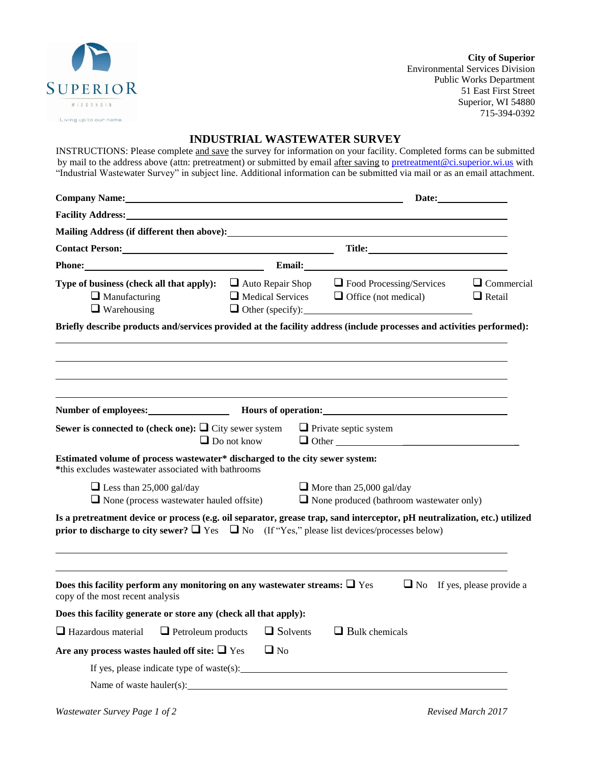

**City of Superior**  Environmental Services Division Public Works Department 51 East First Street Superior, WI 54880 715-394-0392

## **INDUSTRIAL WASTEWATER SURVEY**

INSTRUCTIONS: Please complete and save the survey for information on your facility. Completed forms can be submitted by mail to the address above (attn: pretreatment) or submitted by email after saving to [pretreatment@ci.superior.wi.us](mailto:pretreatment@ci.superior.wi.us) with "Industrial Wastewater Survey" in subject line. Additional information can be submitted via mail or as an email attachment.

| Company Name: Name and South Assembly Name and South Assembly Name and South Assembly Name and South Assembly                                                                                                                              |                                                    |  |                                                                                    |                                 |                                    |  |
|--------------------------------------------------------------------------------------------------------------------------------------------------------------------------------------------------------------------------------------------|----------------------------------------------------|--|------------------------------------------------------------------------------------|---------------------------------|------------------------------------|--|
| <b>Facility Address:</b> The Contract of the Contract of the Contract of the Contract of the Contract of the Contract of the Contract of the Contract of the Contract of the Contract of the Contract of the Contract of the Contra        |                                                    |  |                                                                                    |                                 |                                    |  |
|                                                                                                                                                                                                                                            |                                                    |  |                                                                                    |                                 |                                    |  |
| Contact Person: New York Contact Person:                                                                                                                                                                                                   |                                                    |  |                                                                                    |                                 |                                    |  |
| Phone:                                                                                                                                                                                                                                     |                                                    |  |                                                                                    |                                 |                                    |  |
| <b>Type of business (check all that apply):</b> $\Box$ Auto Repair Shop<br>$\Box$ Manufacturing<br>$\Box$ Warehousing                                                                                                                      | $\Box$ Medical Services<br>$\Box$ Other (specify): |  | $\Box$ Office (not medical)                                                        | $\Box$ Food Processing/Services | $\Box$ Commercial<br>$\Box$ Retail |  |
| Briefly describe products and/services provided at the facility address (include processes and activities performed):                                                                                                                      |                                                    |  |                                                                                    |                                 |                                    |  |
|                                                                                                                                                                                                                                            |                                                    |  |                                                                                    |                                 |                                    |  |
|                                                                                                                                                                                                                                            |                                                    |  |                                                                                    |                                 |                                    |  |
| Number of employees: Mours of operation: Mours of operation:                                                                                                                                                                               |                                                    |  |                                                                                    |                                 |                                    |  |
| Sewer is connected to (check one): $\Box$ City sewer system                                                                                                                                                                                | $\Box$ Do not know                                 |  | $\Box$ Private septic system                                                       | $\Box$ Other                    |                                    |  |
| Estimated volume of process wastewater* discharged to the city sewer system:<br>*this excludes wastewater associated with bathrooms                                                                                                        |                                                    |  |                                                                                    |                                 |                                    |  |
| $\Box$ Less than 25,000 gal/day<br>$\Box$ None (process wastewater hauled offsite)                                                                                                                                                         |                                                    |  | $\Box$ More than 25,000 gal/day<br>$\Box$ None produced (bathroom wastewater only) |                                 |                                    |  |
| Is a pretreatment device or process (e.g. oil separator, grease trap, sand interceptor, pH neutralization, etc.) utilized<br><b>prior to discharge to city sewer?</b> $\Box$ Yes $\Box$ No (If "Yes," please list devices/processes below) |                                                    |  |                                                                                    |                                 |                                    |  |
| Does this facility perform any monitoring on any wastewater streams: $\Box$ Yes<br>copy of the most recent analysis                                                                                                                        |                                                    |  |                                                                                    |                                 | $\Box$ No If yes, please provide a |  |
| Does this facility generate or store any (check all that apply):                                                                                                                                                                           |                                                    |  |                                                                                    |                                 |                                    |  |
| $\Box$ Petroleum products<br>$\Box$ Hazardous material                                                                                                                                                                                     | $\Box$ Solvents                                    |  | $\Box$ Bulk chemicals                                                              |                                 |                                    |  |
| Are any process wastes hauled off site: $\Box$ Yes                                                                                                                                                                                         | $\Box$ No                                          |  |                                                                                    |                                 |                                    |  |
| If yes, please indicate type of waste(s): $\Box$                                                                                                                                                                                           |                                                    |  |                                                                                    |                                 |                                    |  |
| Name of waste hauler(s):                                                                                                                                                                                                                   |                                                    |  |                                                                                    |                                 |                                    |  |